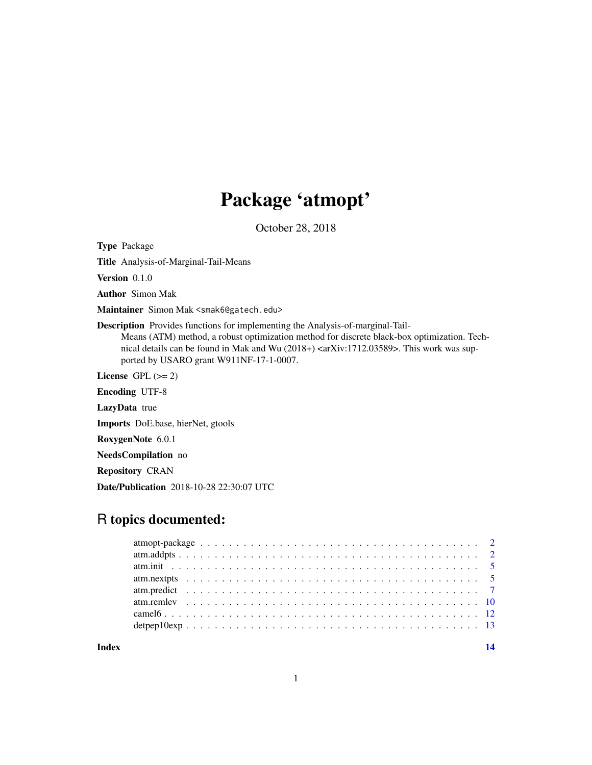## Package 'atmopt'

October 28, 2018

Type Package

Title Analysis-of-Marginal-Tail-Means

Version 0.1.0

Author Simon Mak

Maintainer Simon Mak <smak6@gatech.edu>

Description Provides functions for implementing the Analysis-of-marginal-Tail-

Means (ATM) method, a robust optimization method for discrete black-box optimization. Technical details can be found in Mak and Wu  $(2018+)$  <arXiv:1712.03589>. This work was supported by USARO grant W911NF-17-1-0007.

License GPL  $(>= 2)$ 

Encoding UTF-8

LazyData true

Imports DoE.base, hierNet, gtools

RoxygenNote 6.0.1

NeedsCompilation no

Repository CRAN

Date/Publication 2018-10-28 22:30:07 UTC

## R topics documented:

**Index** and the contract of the contract of the contract of the contract of the contract of the contract of the contract of the contract of the contract of the contract of the contract of the contract of the contract of th

1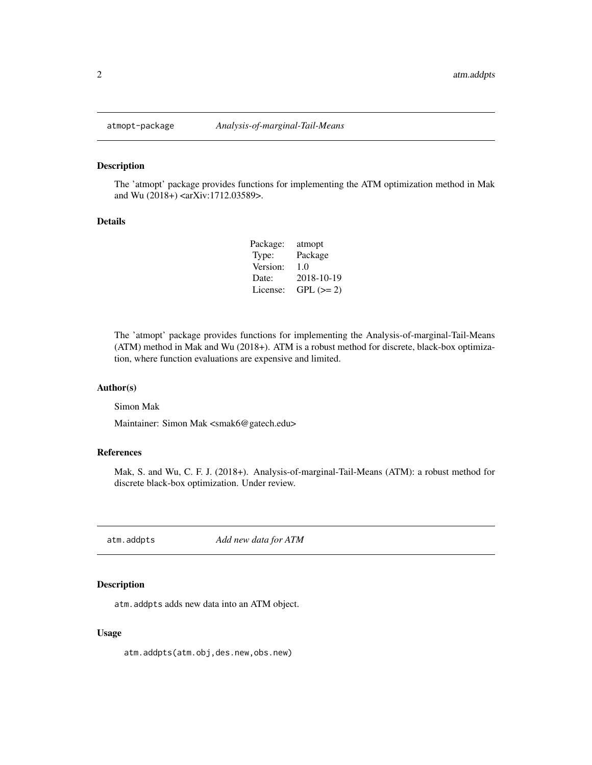<span id="page-1-0"></span>

#### Description

The 'atmopt' package provides functions for implementing the ATM optimization method in Mak and Wu (2018+) <arXiv:1712.03589>.

#### Details

| Package: | atmopt     |
|----------|------------|
| Type:    | Package    |
| Version: | 1.0        |
| Date:    | 2018-10-19 |
| License: | $GPL (=2)$ |

The 'atmopt' package provides functions for implementing the Analysis-of-marginal-Tail-Means (ATM) method in Mak and Wu (2018+). ATM is a robust method for discrete, black-box optimization, where function evaluations are expensive and limited.

#### Author(s)

Simon Mak

Maintainer: Simon Mak <smak6@gatech.edu>

#### References

Mak, S. and Wu, C. F. J. (2018+). Analysis-of-marginal-Tail-Means (ATM): a robust method for discrete black-box optimization. Under review.

atm.addpts *Add new data for ATM*

### Description

atm.addpts adds new data into an ATM object.

#### Usage

atm.addpts(atm.obj,des.new,obs.new)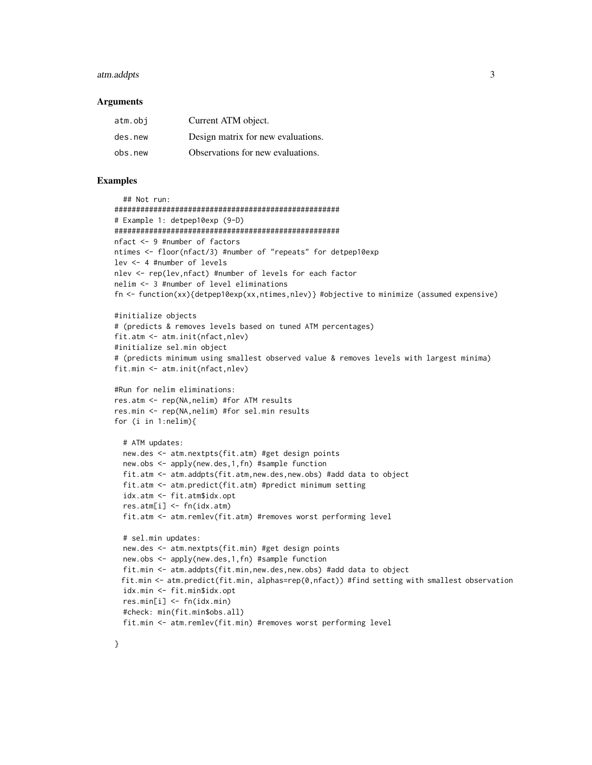#### atm.addpts 3

#### Arguments

| atm.obi | Current ATM object.                |
|---------|------------------------------------|
| des.new | Design matrix for new evaluations. |
| obs.new | Observations for new evaluations.  |

```
## Not run:
####################################################
# Example 1: detpep10exp (9-D)
####################################################
nfact <- 9 #number of factors
ntimes <- floor(nfact/3) #number of "repeats" for detpep10exp
lev <- 4 #number of levels
nlev <- rep(lev,nfact) #number of levels for each factor
nelim <- 3 #number of level eliminations
fn <- function(xx){detpep10exp(xx,ntimes,nlev)} #objective to minimize (assumed expensive)
#initialize objects
# (predicts & removes levels based on tuned ATM percentages)
fit.atm <- atm.init(nfact,nlev)
#initialize sel.min object
# (predicts minimum using smallest observed value & removes levels with largest minima)
fit.min <- atm.init(nfact,nlev)
#Run for nelim eliminations:
res.atm <- rep(NA,nelim) #for ATM results
res.min <- rep(NA,nelim) #for sel.min results
for (i in 1:nelim){
  # ATM updates:
  new.des <- atm.nextpts(fit.atm) #get design points
  new.obs <- apply(new.des,1,fn) #sample function
  fit.atm <- atm.addpts(fit.atm,new.des,new.obs) #add data to object
  fit.atm <- atm.predict(fit.atm) #predict minimum setting
  idx.atm <- fit.atm$idx.opt
  res.atm[i] <- fn(idx.atm)
  fit.atm <- atm.remlev(fit.atm) #removes worst performing level
  # sel.min updates:
  new.des <- atm.nextpts(fit.min) #get design points
  new.obs <- apply(new.des,1,fn) #sample function
  fit.min <- atm.addpts(fit.min,new.des,new.obs) #add data to object
 fit.min <- atm.predict(fit.min, alphas=rep(0,nfact)) #find setting with smallest observation
  idx.min <- fit.min$idx.opt
  res.min[i] <- fn(idx.min)
  #check: min(fit.min$obs.all)
  fit.min <- atm.remlev(fit.min) #removes worst performing level
```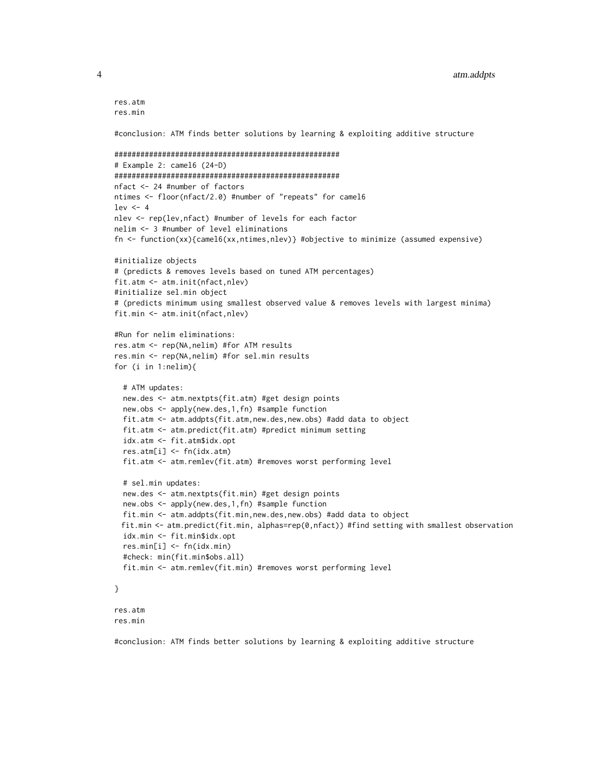```
res.atm
res.min
#conclusion: ATM finds better solutions by learning & exploiting additive structure
####################################################
# Example 2: camel6 (24-D)
####################################################
nfact <- 24 #number of factors
ntimes <- floor(nfact/2.0) #number of "repeats" for camel6
lev \leq 4nlev <- rep(lev,nfact) #number of levels for each factor
nelim <- 3 #number of level eliminations
fn <- function(xx){camel6(xx,ntimes,nlev)} #objective to minimize (assumed expensive)
#initialize objects
# (predicts & removes levels based on tuned ATM percentages)
fit.atm <- atm.init(nfact,nlev)
#initialize sel.min object
# (predicts minimum using smallest observed value & removes levels with largest minima)
fit.min <- atm.init(nfact,nlev)
#Run for nelim eliminations:
res.atm <- rep(NA,nelim) #for ATM results
res.min <- rep(NA,nelim) #for sel.min results
for (i in 1:nelim){
 # ATM updates:
 new.des <- atm.nextpts(fit.atm) #get design points
 new.obs <- apply(new.des,1,fn) #sample function
 fit.atm <- atm.addpts(fit.atm,new.des,new.obs) #add data to object
 fit.atm <- atm.predict(fit.atm) #predict minimum setting
 idx.atm <- fit.atm$idx.opt
 res.atm[i] <- fn(idx.atm)
 fit.atm <- atm.remlev(fit.atm) #removes worst performing level
 # sel.min updates:
 new.des <- atm.nextpts(fit.min) #get design points
 new.obs <- apply(new.des,1,fn) #sample function
 fit.min <- atm.addpts(fit.min,new.des,new.obs) #add data to object
 fit.min <- atm.predict(fit.min, alphas=rep(0,nfact)) #find setting with smallest observation
 idx.min <- fit.min$idx.opt
 res.min[i] <- fn(idx.min)
 #check: min(fit.min$obs.all)
 fit.min <- atm.remlev(fit.min) #removes worst performing level
}
res.atm
res.min
```
#conclusion: ATM finds better solutions by learning & exploiting additive structure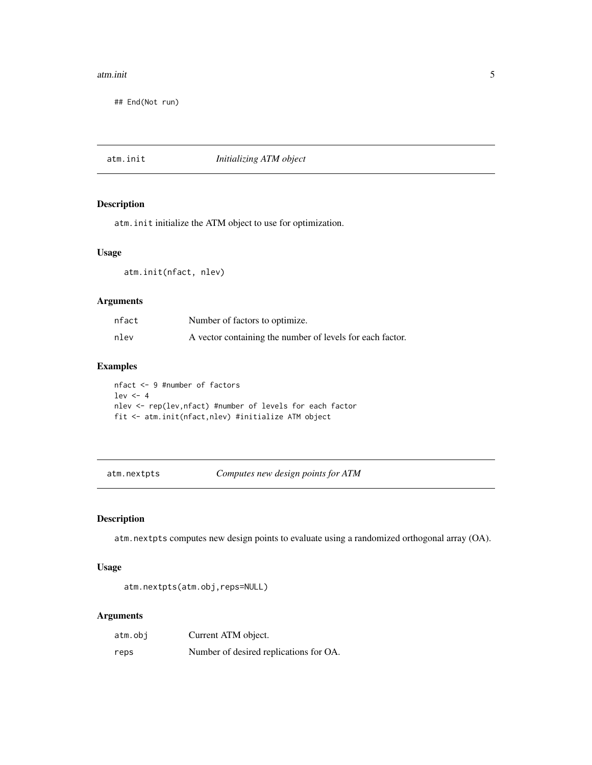#### <span id="page-4-0"></span>atm.init 5

## End(Not run)

## atm.init *Initializing ATM object*

#### Description

atm.init initialize the ATM object to use for optimization.

## Usage

atm.init(nfact, nlev)

## Arguments

| nfact | Number of factors to optimize.                            |
|-------|-----------------------------------------------------------|
| nlev  | A vector containing the number of levels for each factor. |

## Examples

nfact <- 9 #number of factors  $lev \leftarrow 4$ nlev <- rep(lev,nfact) #number of levels for each factor fit <- atm.init(nfact,nlev) #initialize ATM object

atm.nextpts *Computes new design points for ATM*

## Description

atm.nextpts computes new design points to evaluate using a randomized orthogonal array (OA).

#### Usage

```
atm.nextpts(atm.obj,reps=NULL)
```
## Arguments

| atm.obj | Current ATM object.                    |
|---------|----------------------------------------|
| reps    | Number of desired replications for OA. |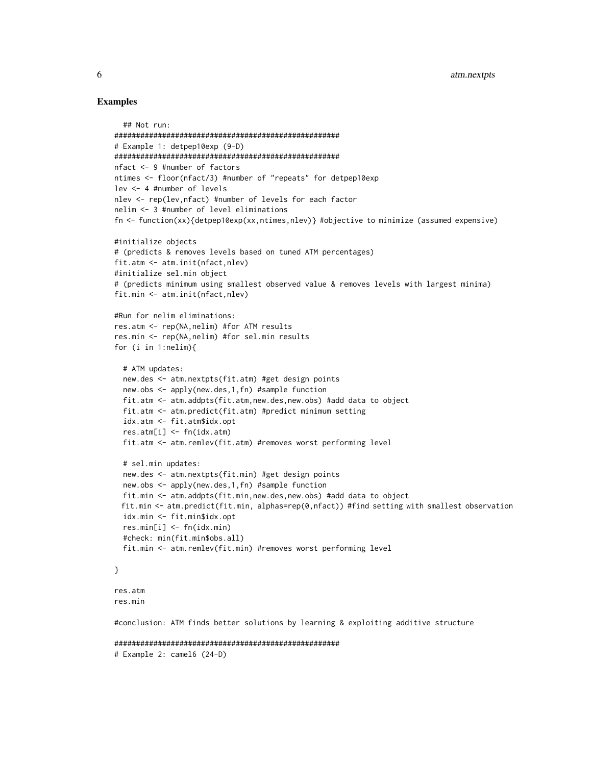```
## Not run:
####################################################
# Example 1: detpep10exp (9-D)
####################################################
nfact <- 9 #number of factors
ntimes <- floor(nfact/3) #number of "repeats" for detpep10exp
lev <- 4 #number of levels
nlev <- rep(lev,nfact) #number of levels for each factor
nelim <- 3 #number of level eliminations
fn <- function(xx){detpep10exp(xx,ntimes,nlev)} #objective to minimize (assumed expensive)
#initialize objects
# (predicts & removes levels based on tuned ATM percentages)
fit.atm <- atm.init(nfact,nlev)
#initialize sel.min object
# (predicts minimum using smallest observed value & removes levels with largest minima)
fit.min <- atm.init(nfact,nlev)
#Run for nelim eliminations:
res.atm <- rep(NA,nelim) #for ATM results
res.min <- rep(NA,nelim) #for sel.min results
for (i in 1:nelim){
  # ATM updates:
  new.des <- atm.nextpts(fit.atm) #get design points
  new.obs <- apply(new.des,1,fn) #sample function
  fit.atm <- atm.addpts(fit.atm,new.des,new.obs) #add data to object
  fit.atm <- atm.predict(fit.atm) #predict minimum setting
  idx.atm <- fit.atm$idx.opt
  res.atm[i] <- fn(idx.atm)
  fit.atm <- atm.remlev(fit.atm) #removes worst performing level
  # sel.min updates:
  new.des <- atm.nextpts(fit.min) #get design points
  new.obs <- apply(new.des,1,fn) #sample function
  fit.min <- atm.addpts(fit.min,new.des,new.obs) #add data to object
 fit.min <- atm.predict(fit.min, alphas=rep(0,nfact)) #find setting with smallest observation
  idx.min <- fit.min$idx.opt
  res.min[i] <- fn(idx.min)
  #check: min(fit.min$obs.all)
  fit.min <- atm.remlev(fit.min) #removes worst performing level
}
res.atm
res.min
#conclusion: ATM finds better solutions by learning & exploiting additive structure
####################################################
# Example 2: camel6 (24-D)
```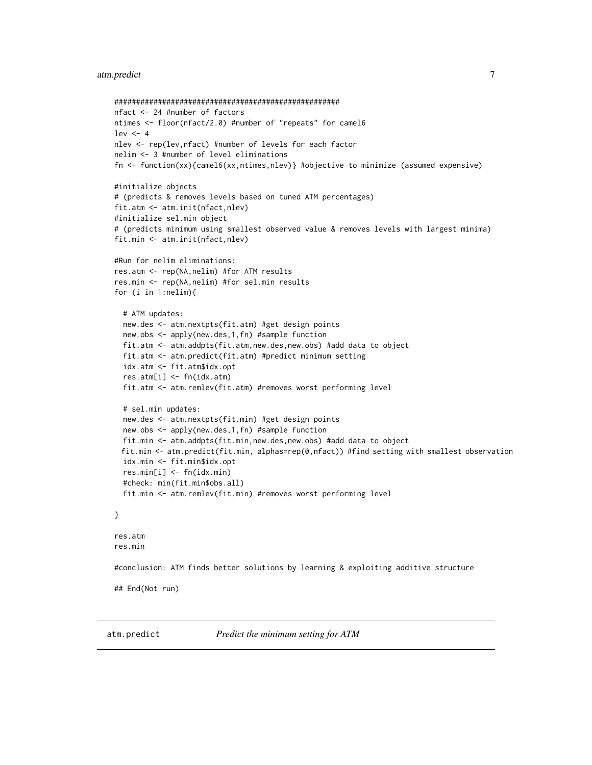#### <span id="page-6-0"></span>atm.predict 7

```
####################################################
nfact <- 24 #number of factors
ntimes <- floor(nfact/2.0) #number of "repeats" for camel6
lev \leftarrow 4nlev <- rep(lev,nfact) #number of levels for each factor
nelim <- 3 #number of level eliminations
fn <- function(xx){camel6(xx,ntimes,nlev)} #objective to minimize (assumed expensive)
#initialize objects
# (predicts & removes levels based on tuned ATM percentages)
fit.atm <- atm.init(nfact,nlev)
#initialize sel.min object
# (predicts minimum using smallest observed value & removes levels with largest minima)
fit.min <- atm.init(nfact,nlev)
#Run for nelim eliminations:
res.atm <- rep(NA,nelim) #for ATM results
res.min <- rep(NA,nelim) #for sel.min results
for (i in 1:nelim){
  # ATM updates:
  new.des <- atm.nextpts(fit.atm) #get design points
  new.obs <- apply(new.des,1,fn) #sample function
  fit.atm <- atm.addpts(fit.atm,new.des,new.obs) #add data to object
  fit.atm <- atm.predict(fit.atm) #predict minimum setting
  idx.atm <- fit.atm$idx.opt
  res.atm[i] <- fn(idx.atm)
  fit.atm <- atm.remlev(fit.atm) #removes worst performing level
  # sel.min updates:
  new.des <- atm.nextpts(fit.min) #get design points
  new.obs <- apply(new.des,1,fn) #sample function
  fit.min <- atm.addpts(fit.min,new.des,new.obs) #add data to object
 fit.min <- atm.predict(fit.min, alphas=rep(0,nfact)) #find setting with smallest observation
  idx.min <- fit.min$idx.opt
  res.min[i] <- fn(idx.min)
  #check: min(fit.min$obs.all)
  fit.min <- atm.remlev(fit.min) #removes worst performing level
}
res.atm
res.min
#conclusion: ATM finds better solutions by learning & exploiting additive structure
## End(Not run)
```
atm.predict *Predict the minimum setting for ATM*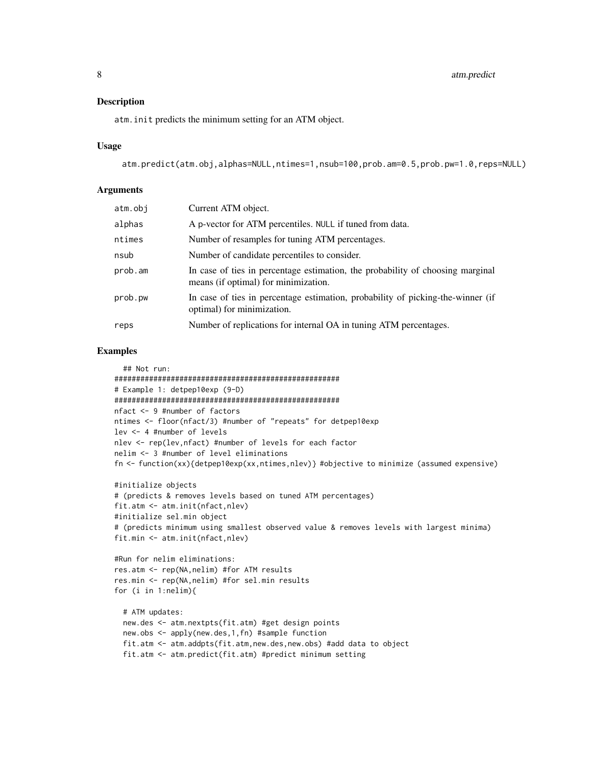#### Description

atm.init predicts the minimum setting for an ATM object.

#### Usage

```
atm.predict(atm.obj,alphas=NULL,ntimes=1,nsub=100,prob.am=0.5,prob.pw=1.0,reps=NULL)
```
#### Arguments

| atm.obi | Current ATM object.                                                                                                    |
|---------|------------------------------------------------------------------------------------------------------------------------|
| alphas  | A p-vector for ATM percentiles. NULL if tuned from data.                                                               |
| ntimes  | Number of resamples for tuning ATM percentages.                                                                        |
| nsub    | Number of candidate percentiles to consider.                                                                           |
| prob.am | In case of ties in percentage estimation, the probability of choosing marginal<br>means (if optimal) for minimization. |
| prob.pw | In case of ties in percentage estimation, probability of picking-the-winner (if<br>optimal) for minimization.          |
| reps    | Number of replications for internal OA in tuning ATM percentages.                                                      |

```
## Not run:
####################################################
# Example 1: detpep10exp (9-D)
####################################################
nfact <- 9 #number of factors
ntimes <- floor(nfact/3) #number of "repeats" for detpep10exp
lev <- 4 #number of levels
nlev <- rep(lev,nfact) #number of levels for each factor
nelim <- 3 #number of level eliminations
fn <- function(xx){detpep10exp(xx,ntimes,nlev)} #objective to minimize (assumed expensive)
```

```
#initialize objects
# (predicts & removes levels based on tuned ATM percentages)
fit.atm <- atm.init(nfact,nlev)
#initialize sel.min object
# (predicts minimum using smallest observed value & removes levels with largest minima)
fit.min <- atm.init(nfact,nlev)
```

```
#Run for nelim eliminations:
res.atm <- rep(NA,nelim) #for ATM results
res.min <- rep(NA,nelim) #for sel.min results
for (i in 1:nelim){
```

```
# ATM updates:
new.des <- atm.nextpts(fit.atm) #get design points
new.obs <- apply(new.des,1,fn) #sample function
fit.atm <- atm.addpts(fit.atm,new.des,new.obs) #add data to object
fit.atm <- atm.predict(fit.atm) #predict minimum setting
```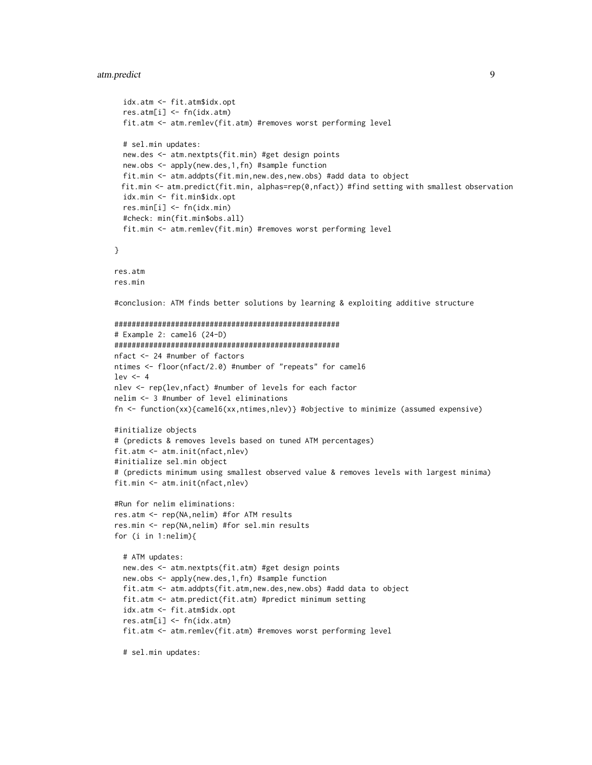#### atm.predict 9

```
idx.atm <- fit.atm$idx.opt
  res.atm[i] <- fn(idx.atm)
  fit.atm <- atm.remlev(fit.atm) #removes worst performing level
  # sel.min updates:
  new.des <- atm.nextpts(fit.min) #get design points
  new.obs <- apply(new.des,1,fn) #sample function
  fit.min <- atm.addpts(fit.min,new.des,new.obs) #add data to object
 fit.min <- atm.predict(fit.min, alphas=rep(0,nfact)) #find setting with smallest observation
  idx.min <- fit.min$idx.opt
  res.min[i] <- fn(idx.min)
  #check: min(fit.min$obs.all)
  fit.min <- atm.remlev(fit.min) #removes worst performing level
}
res.atm
res.min
#conclusion: ATM finds better solutions by learning & exploiting additive structure
####################################################
# Example 2: camel6 (24-D)
####################################################
nfact <- 24 #number of factors
ntimes <- floor(nfact/2.0) #number of "repeats" for camel6
lev \leftarrow 4nlev <- rep(lev,nfact) #number of levels for each factor
nelim <- 3 #number of level eliminations
fn <- function(xx){camel6(xx,ntimes,nlev)} #objective to minimize (assumed expensive)
#initialize objects
# (predicts & removes levels based on tuned ATM percentages)
fit.atm <- atm.init(nfact,nlev)
#initialize sel.min object
# (predicts minimum using smallest observed value & removes levels with largest minima)
fit.min <- atm.init(nfact,nlev)
#Run for nelim eliminations:
res.atm <- rep(NA,nelim) #for ATM results
res.min <- rep(NA,nelim) #for sel.min results
for (i in 1:nelim){
  # ATM updates:
  new.des <- atm.nextpts(fit.atm) #get design points
  new.obs <- apply(new.des,1,fn) #sample function
  fit.atm <- atm.addpts(fit.atm,new.des,new.obs) #add data to object
  fit.atm <- atm.predict(fit.atm) #predict minimum setting
  idx.atm <- fit.atm$idx.opt
  res.atm[i] <- fn(idx.atm)
  fit.atm <- atm.remlev(fit.atm) #removes worst performing level
  # sel.min updates:
```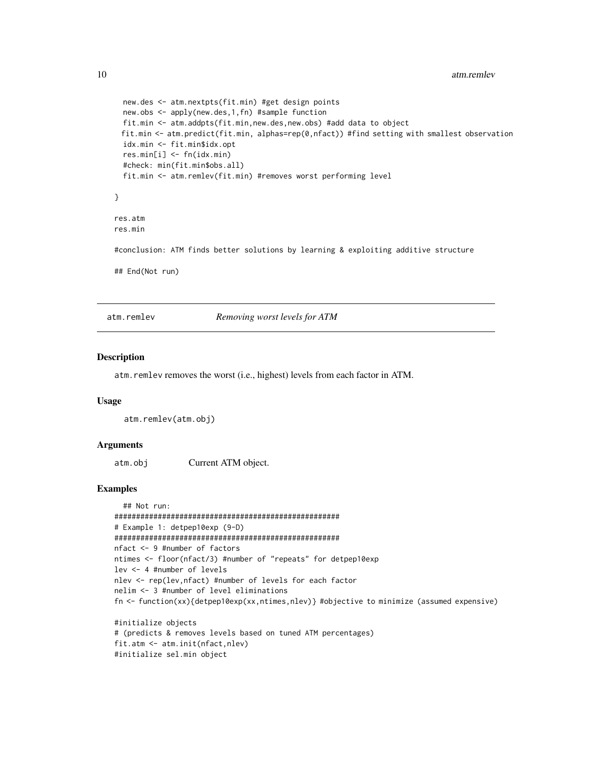```
new.des <- atm.nextpts(fit.min) #get design points
 new.obs <- apply(new.des,1,fn) #sample function
 fit.min <- atm.addpts(fit.min,new.des,new.obs) #add data to object
 fit.min <- atm.predict(fit.min, alphas=rep(0,nfact)) #find setting with smallest observation
 idx.min <- fit.min$idx.opt
 res.min[i] <- fn(idx.min)
 #check: min(fit.min$obs.all)
 fit.min <- atm.remlev(fit.min) #removes worst performing level
}
res.atm
res.min
#conclusion: ATM finds better solutions by learning & exploiting additive structure
## End(Not run)
```
atm.remlev *Removing worst levels for ATM*

#### Description

atm.remlev removes the worst (i.e., highest) levels from each factor in ATM.

#### Usage

```
atm.remlev(atm.obj)
```
#### Arguments

atm.obj Current ATM object.

```
## Not run:
####################################################
# Example 1: detpep10exp (9-D)
####################################################
nfact <- 9 #number of factors
ntimes <- floor(nfact/3) #number of "repeats" for detpep10exp
lev <- 4 #number of levels
nlev <- rep(lev,nfact) #number of levels for each factor
nelim <- 3 #number of level eliminations
fn <- function(xx){detpep10exp(xx,ntimes,nlev)} #objective to minimize (assumed expensive)
```

```
#initialize objects
# (predicts & removes levels based on tuned ATM percentages)
fit.atm <- atm.init(nfact,nlev)
#initialize sel.min object
```
<span id="page-9-0"></span>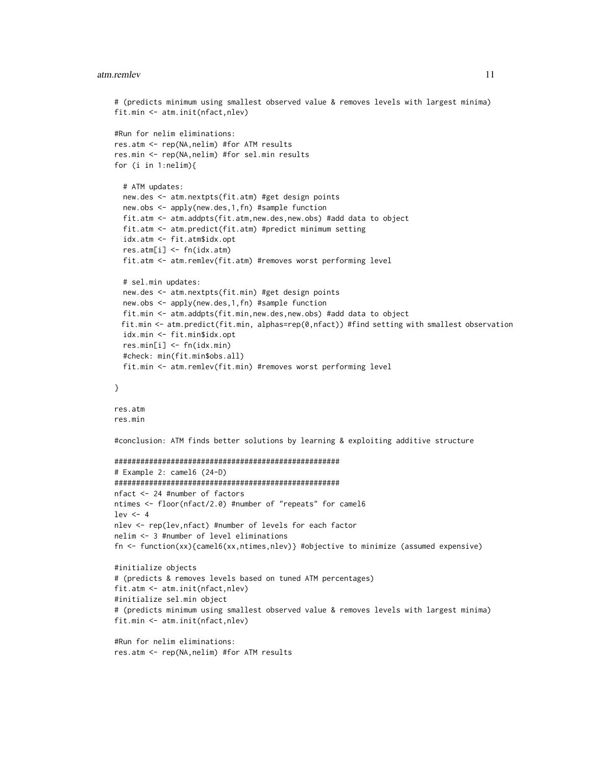#### atm.remlev 11

```
# (predicts minimum using smallest observed value & removes levels with largest minima)
fit.min <- atm.init(nfact,nlev)
#Run for nelim eliminations:
res.atm <- rep(NA,nelim) #for ATM results
res.min <- rep(NA,nelim) #for sel.min results
for (i in 1:nelim){
 # ATM updates:
 new.des <- atm.nextpts(fit.atm) #get design points
 new.obs <- apply(new.des,1,fn) #sample function
 fit.atm <- atm.addpts(fit.atm,new.des,new.obs) #add data to object
  fit.atm <- atm.predict(fit.atm) #predict minimum setting
  idx.atm <- fit.atm$idx.opt
 res.atm[i] <- fn(idx.atm)
 fit.atm <- atm.remlev(fit.atm) #removes worst performing level
 # sel.min updates:
 new.des <- atm.nextpts(fit.min) #get design points
 new.obs <- apply(new.des,1,fn) #sample function
 fit.min <- atm.addpts(fit.min,new.des,new.obs) #add data to object
 fit.min <- atm.predict(fit.min, alphas=rep(0,nfact)) #find setting with smallest observation
 idx.min <- fit.min$idx.opt
 res.min[i] <- fn(idx.min)
 #check: min(fit.min$obs.all)
 fit.min <- atm.remlev(fit.min) #removes worst performing level
}
res.atm
res.min
#conclusion: ATM finds better solutions by learning & exploiting additive structure
####################################################
# Example 2: camel6 (24-D)
####################################################
nfact <- 24 #number of factors
ntimes <- floor(nfact/2.0) #number of "repeats" for camel6
lev \leftarrow 4nlev <- rep(lev,nfact) #number of levels for each factor
nelim <- 3 #number of level eliminations
fn <- function(xx){camel6(xx,ntimes,nlev)} #objective to minimize (assumed expensive)
#initialize objects
# (predicts & removes levels based on tuned ATM percentages)
fit.atm <- atm.init(nfact,nlev)
#initialize sel.min object
# (predicts minimum using smallest observed value & removes levels with largest minima)
fit.min <- atm.init(nfact,nlev)
#Run for nelim eliminations:
res.atm <- rep(NA,nelim) #for ATM results
```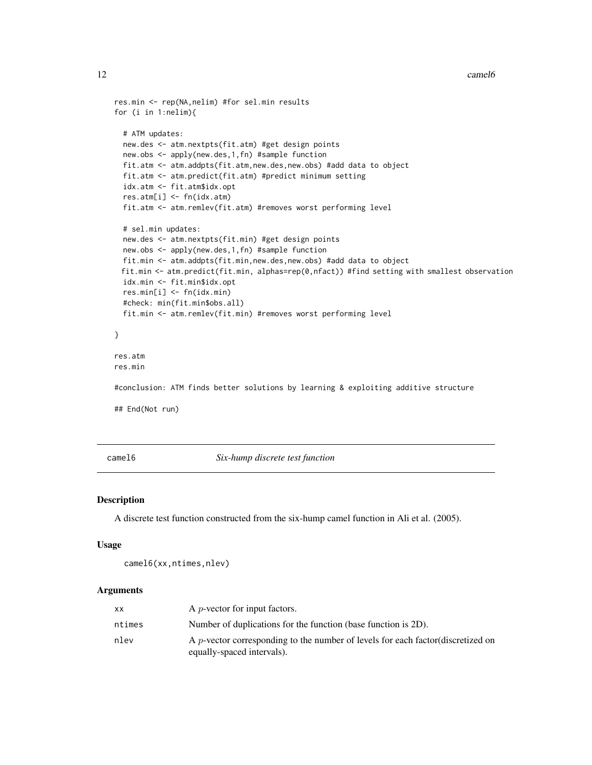#### <span id="page-11-0"></span>12 camelo camelo control and the control of the control of the control of the camelo camelo camelo camelo camelo

```
res.min <- rep(NA,nelim) #for sel.min results
for (i in 1:nelim){
 # ATM updates:
 new.des <- atm.nextpts(fit.atm) #get design points
 new.obs <- apply(new.des,1,fn) #sample function
 fit.atm <- atm.addpts(fit.atm,new.des,new.obs) #add data to object
 fit.atm <- atm.predict(fit.atm) #predict minimum setting
 idx.atm <- fit.atm$idx.opt
 res.atm[i] <- fn(idx.atm)
 fit.atm <- atm.remlev(fit.atm) #removes worst performing level
 # sel.min updates:
 new.des <- atm.nextpts(fit.min) #get design points
 new.obs <- apply(new.des,1,fn) #sample function
 fit.min <- atm.addpts(fit.min,new.des,new.obs) #add data to object
 fit.min <- atm.predict(fit.min, alphas=rep(0,nfact)) #find setting with smallest observation
 idx.min <- fit.min$idx.opt
 res.min[i] <- fn(idx.min)
 #check: min(fit.min$obs.all)
 fit.min <- atm.remlev(fit.min) #removes worst performing level
}
res.atm
res.min
#conclusion: ATM finds better solutions by learning & exploiting additive structure
## End(Not run)
```
camel6 *Six-hump discrete test function*

#### Description

A discrete test function constructed from the six-hump camel function in Ali et al. (2005).

#### Usage

```
camel6(xx,ntimes,nlev)
```
#### Arguments

| A <i>p</i> -vector for input factors.                                                                                  |
|------------------------------------------------------------------------------------------------------------------------|
| Number of duplications for the function (base function is 2D).                                                         |
| A <i>p</i> -vector corresponding to the number of levels for each factor (discretized on<br>equally-spaced intervals). |
|                                                                                                                        |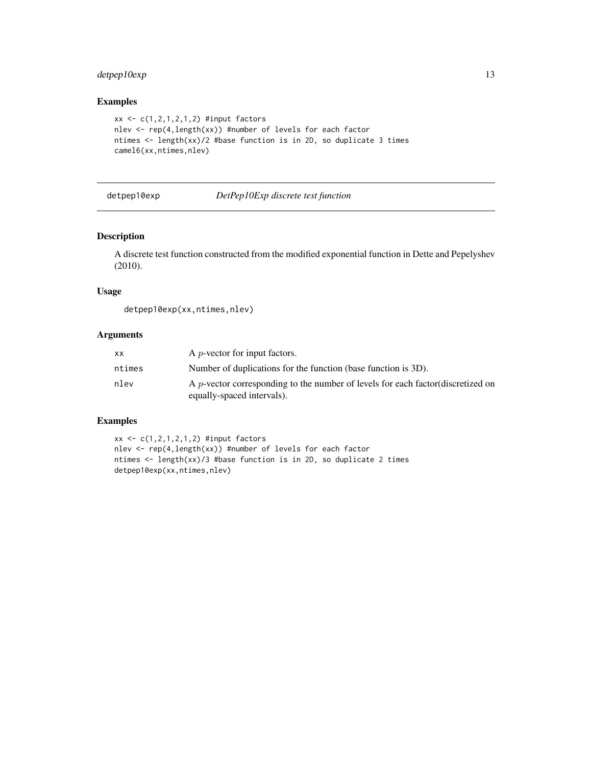## <span id="page-12-0"></span>detpep10exp 13

## Examples

```
xx < -c(1, 2, 1, 2, 1, 2) #input factors
nlev <- rep(4,length(xx)) #number of levels for each factor
ntimes <- length(xx)/2 #base function is in 2D, so duplicate 3 times
camel6(xx,ntimes,nlev)
```
## detpep10exp *DetPep10Exp discrete test function*

#### Description

A discrete test function constructed from the modified exponential function in Dette and Pepelyshev (2010).

#### Usage

```
detpep10exp(xx,ntimes,nlev)
```
## Arguments

| XX     | A <i>p</i> -vector for input factors.                                                                          |
|--------|----------------------------------------------------------------------------------------------------------------|
| ntimes | Number of duplications for the function (base function is 3D).                                                 |
| nlev   | A p-vector corresponding to the number of levels for each factor (discretized on<br>equally-spaced intervals). |

```
xx < -c(1,2,1,2,1,2) #input factors
nlev <- rep(4,length(xx)) #number of levels for each factor
ntimes <- length(xx)/3 #base function is in 2D, so duplicate 2 times
detpep10exp(xx,ntimes,nlev)
```